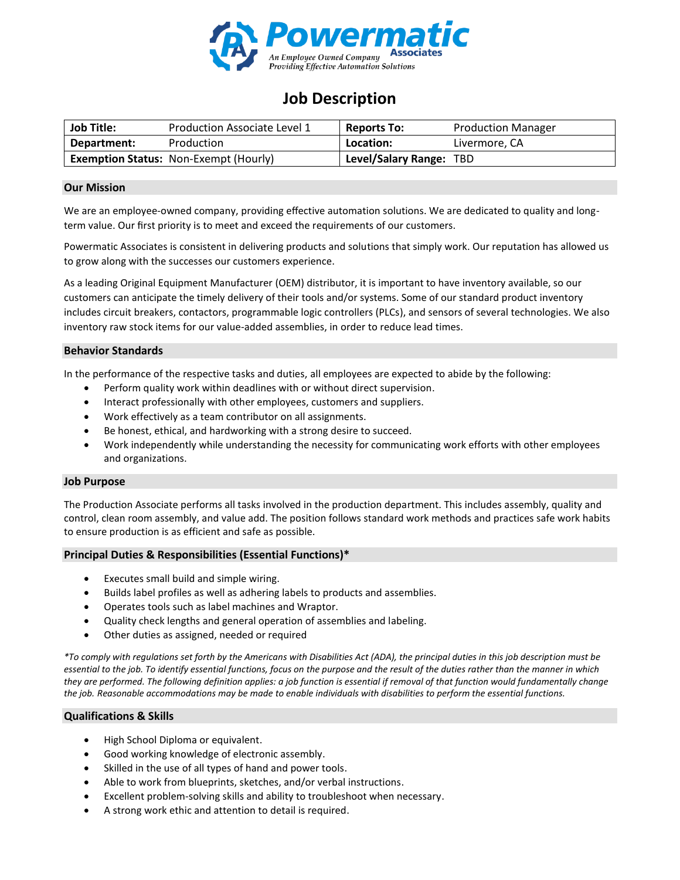

# **Job Description**

| <b>Job Title:</b> | Production Associate Level 1                 | <b>Reports To:</b>      | <b>Production Manager</b> |
|-------------------|----------------------------------------------|-------------------------|---------------------------|
| Department:       | Production                                   | Location:               | Livermore, CA             |
|                   | <b>Exemption Status: Non-Exempt (Hourly)</b> | Level/Salary Range: TBD |                           |

# **Our Mission**

We are an employee-owned company, providing effective automation solutions. We are dedicated to quality and longterm value. Our first priority is to meet and exceed the requirements of our customers.

Powermatic Associates is consistent in delivering products and solutions that simply work. Our reputation has allowed us to grow along with the successes our customers experience.

As a leading Original Equipment Manufacturer (OEM) distributor, it is important to have inventory available, so our customers can anticipate the timely delivery of their tools and/or systems. Some of our standard product inventory includes circuit breakers, contactors, programmable logic controllers (PLCs), and sensors of several technologies. We also inventory raw stock items for our value-added assemblies, in order to reduce lead times.

# **Behavior Standards**

In the performance of the respective tasks and duties, all employees are expected to abide by the following:

- Perform quality work within deadlines with or without direct supervision.
- Interact professionally with other employees, customers and suppliers.
- Work effectively as a team contributor on all assignments.
- Be honest, ethical, and hardworking with a strong desire to succeed.
- Work independently while understanding the necessity for communicating work efforts with other employees and organizations.

#### **Job Purpose**

The Production Associate performs all tasks involved in the production department. This includes assembly, quality and control, clean room assembly, and value add. The position follows standard work methods and practices safe work habits to ensure production is as efficient and safe as possible.

#### **Principal Duties & Responsibilities (Essential Functions)\***

- Executes small build and simple wiring.
- Builds label profiles as well as adhering labels to products and assemblies.
- Operates tools such as label machines and Wraptor.
- Quality check lengths and general operation of assemblies and labeling.
- Other duties as assigned, needed or required

*\*To comply with regulations set forth by the Americans with Disabilities Act (ADA), the principal duties in this job description must be essential to the job. To identify essential functions, focus on the purpose and the result of the duties rather than the manner in which they are performed. The following definition applies: a job function is essential if removal of that function would fundamentally change the job. Reasonable accommodations may be made to enable individuals with disabilities to perform the essential functions.*

#### **Qualifications & Skills**

- High School Diploma or equivalent.
- Good working knowledge of electronic assembly.
- Skilled in the use of all types of hand and power tools.
- Able to work from blueprints, sketches, and/or verbal instructions.
- Excellent problem-solving skills and ability to troubleshoot when necessary.
- A strong work ethic and attention to detail is required.